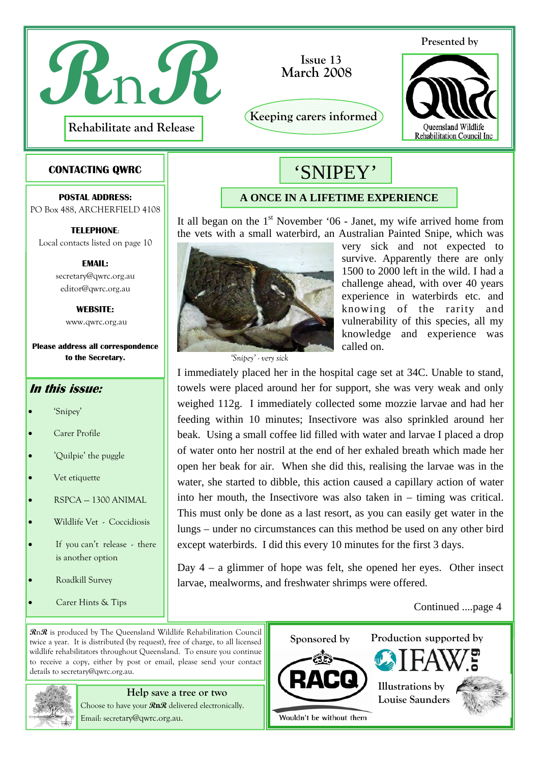

 **March 2008 Issue 13**

**Keeping carers informed** 

#### **Presented by**



#### **CONTACTING QWRC**

**POSTAL ADDRESS:**  PO Box 488, ARCHERFIELD 4108

**TELEPHONE**: Local contacts listed on page 10

> **EMAIL:** secretary@qwrc.org.au editor@qwrc.org.au

> > **WEBSITE:**  www.qwrc.org.au

**Please address all correspondence to the Secretary.** 

#### **In this issue:**

- 'Snipey'
- Carer Profile
- 'Quilpie' the puggle
- Vet etiquette
- RSPCA 1300 ANIMAL
- Wildlife Vet Coccidiosis
- If you can't release there is another option
- Roadkill Survey
- Carer Hints & Tips

**A ONCE IN A LIFETIME EXPERIENCE** 

'SNIPEY'

It all began on the  $1<sup>st</sup>$  November '06 - Janet, my wife arrived home from the vets with a small waterbird, an Australian Painted Snipe, which was



*'Snipey' - very sick* 

very sick and not expected to survive. Apparently there are only 1500 to 2000 left in the wild. I had a challenge ahead, with over 40 years experience in waterbirds etc. and knowing of the rarity and vulnerability of this species, all my knowledge and experience was called on.

I immediately placed her in the hospital cage set at 34C. Unable to stand, towels were placed around her for support, she was very weak and only weighed 112g. I immediately collected some mozzie larvae and had her feeding within 10 minutes; Insectivore was also sprinkled around her beak. Using a small coffee lid filled with water and larvae I placed a drop of water onto her nostril at the end of her exhaled breath which made her open her beak for air. When she did this, realising the larvae was in the water, she started to dibble, this action caused a capillary action of water into her mouth, the Insectivore was also taken in – timing was critical. This must only be done as a last resort, as you can easily get water in the lungs – under no circumstances can this method be used on any other bird except waterbirds. I did this every 10 minutes for the first 3 days.

Day 4 – a glimmer of hope was felt, she opened her eyes. Other insect larvae, mealworms, and freshwater shrimps were offered.

Continued ....page 4

**R**n**R** is produced by The Queensland Wildlife Rehabilitation Council twice a year. It is distributed (by request), free of charge, to all licensed wildlife rehabilitators throughout Queensland. To ensure you continue to receive a copy, either by post or email, please send your contact details to secretary@qwrc.org.au.



## **Help save a tree or two**

Choose to have your **RnR** delivered electronically. Email: secretary@qwrc.org.au.

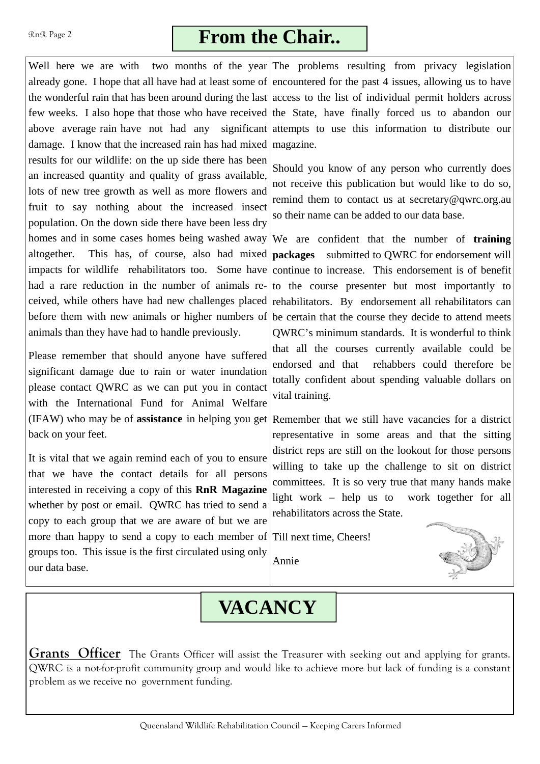#### RnR Page 2

## **From the Chair..**

Well here we are with two months of the year The problems resulting from privacy legislation already gone. I hope that all have had at least some of encountered for the past 4 issues, allowing us to have the wonderful rain that has been around during the last access to the list of individual permit holders across few weeks. I also hope that those who have received the State, have finally forced us to abandon our above average rain have not had any significant attempts to use this information to distribute our damage. I know that the increased rain has had mixed magazine. results for our wildlife: on the up side there has been an increased quantity and quality of grass available, lots of new tree growth as well as more flowers and fruit to say nothing about the increased insect population. On the down side there have been less dry homes and in some cases homes being washed away altogether. This has, of course, also had mixed **packages** submitted to QWRC for endorsement will impacts for wildlife rehabilitators too. Some have had a rare reduction in the number of animals received, while others have had new challenges placed before them with new animals or higher numbers of be certain that the course they decide to attend meets animals than they have had to handle previously.

Please remember that should anyone have suffered significant damage due to rain or water inundation please contact QWRC as we can put you in contact with the International Fund for Animal Welfare (IFAW) who may be of **assistance** in helping you get Remember that we still have vacancies for a district back on your feet.

It is vital that we again remind each of you to ensure that we have the contact details for all persons interested in receiving a copy of this **RnR Magazine** whether by post or email. QWRC has tried to send a copy to each group that we are aware of but we are more than happy to send a copy to each member of Till next time, Cheers! groups too. This issue is the first circulated using only our data base.

Should you know of any person who currently does not receive this publication but would like to do so, remind them to contact us at secretary@qwrc.org.au so their name can be added to our data base.

We are confident that the number of **training**  continue to increase. This endorsement is of benefit to the course presenter but most importantly to rehabilitators. By endorsement all rehabilitators can QWRC's minimum standards. It is wonderful to think that all the courses currently available could be endorsed and that rehabbers could therefore be totally confident about spending valuable dollars on vital training.

representative in some areas and that the sitting district reps are still on the lookout for those persons willing to take up the challenge to sit on district committees. It is so very true that many hands make light work – help us to work together for all rehabilitators across the State.



## **VACANCY**

Annie

**Grants Officer** The Grants Officer will assist the Treasurer with seeking out and applying for grants. QWRC is a not-for-profit community group and would like to achieve more but lack of funding is a constant problem as we receive no government funding.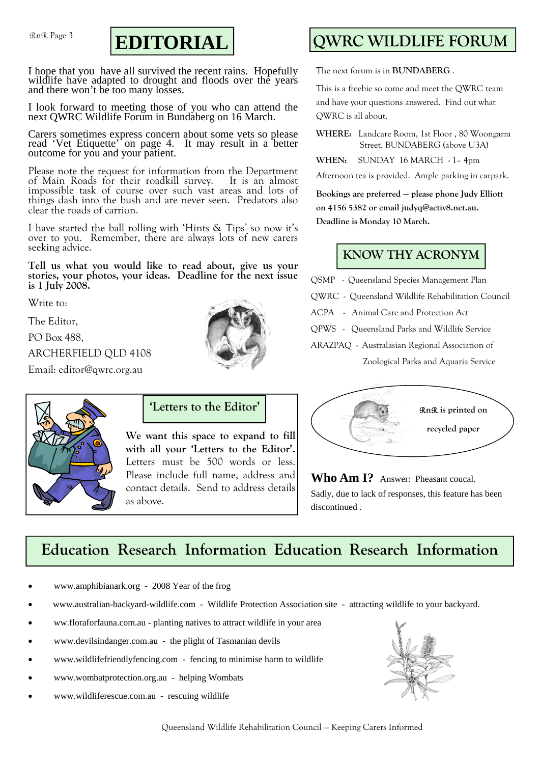RnR Page 3



I hope that you have all survived the recent rains. Hopefully wildlife have adapted to drought and floods over the years and there won't be too many losses.

I look forward to meeting those of you who can attend the next QWRC Wildlife Forum in Bundaberg on 16 March.

Carers sometimes express concern about some vets so please read 'Vet Etiquette' on page 4. It may result in a better outcome for you and your patient.

Please note the request for information from the Department of Main Roads for their roadkill survey. It is an almost impossible task of course over such vast areas and lots of things dash into the bush and are never seen. Predators also clear the roads of carrion.

I have started the ball rolling with 'Hints & Tips' so now it's over to you. Remember, there are always lots of new carers seeking advice.

**Tell us what you would like to read about, give us your stories, your photos, your ideas. Deadline for the next issue is 1 July 2008.** 

Write to:

The Editor,

PO Box 488,

ARCHERFIELD QLD 4108

Email: editor@qwrc.org.au



## **QWRC WILDLIFE FORUM**

The next forum is in **BUNDABERG** .

This is a freebie so come and meet the QWRC team and have your questions answered. Find out what QWRC is all about.

**WHERE:** Landcare Room, 1st Floor , 80 Woongarra Street, BUNDABERG (above U3A)

WHEN: SUNDAY 16 MARCH - 1-4pm

Afternoon tea is provided. Ample parking in carpark.

**Bookings are preferred — please phone Judy Elliott on 4156 5382 or email judyq@activ8.net.au. Deadline is Monday 10 March.** 

### **KNOW THY ACRONYM**

QSMP - Queensland Species Management Plan

QWRC - Queensland Wildlife Rehabilitation Council

ACPA - Animal Care and Protection Act

QPWS - Queensland Parks and Wildlife Service

ARAZPAQ - Australasian Regional Association of

Zoological Parks and Aquaria Service





**We want this space to expand to fill with all your 'Letters to the Editor'.**  Letters must be 500 words or less. Please include full name, address and contact details. Send to address details as above.



Who Am I? Answer: Pheasant coucal. Sadly, due to lack of responses, this feature has been discontinued .

### **Education Research Information Education Research Information**

- www.amphibianark.org 2008 Year of the frog
- www.australian-backyard-wildlife.com Wildlife Protection Association site attracting wildlife to your backyard.
- ww.floraforfauna.com.au planting natives to attract wildlife in your area
- www.devilsindanger.com.au the plight of Tasmanian devils
- www.wildlifefriendlyfencing.com fencing to minimise harm to wildlife
- www.wombatprotection.org.au helping Wombats
- www.wildliferescue.com.au rescuing wildlife

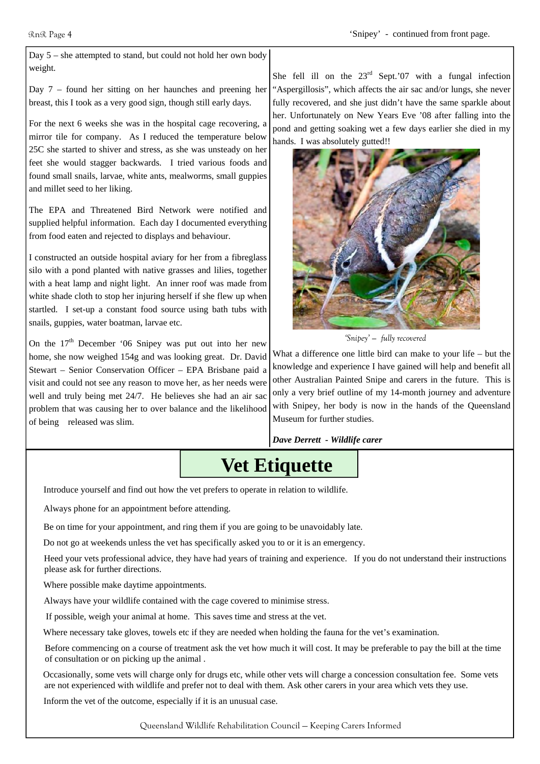Day 5 – she attempted to stand, but could not hold her own body weight.

Day 7 – found her sitting on her haunches and preening her breast, this I took as a very good sign, though still early days.

For the next 6 weeks she was in the hospital cage recovering, a mirror tile for company. As I reduced the temperature below 25C she started to shiver and stress, as she was unsteady on her feet she would stagger backwards. I tried various foods and found small snails, larvae, white ants, mealworms, small guppies and millet seed to her liking.

The EPA and Threatened Bird Network were notified and supplied helpful information. Each day I documented everything from food eaten and rejected to displays and behaviour.

I constructed an outside hospital aviary for her from a fibreglass silo with a pond planted with native grasses and lilies, together with a heat lamp and night light. An inner roof was made from white shade cloth to stop her injuring herself if she flew up when startled. I set-up a constant food source using bath tubs with snails, guppies, water boatman, larvae etc.

On the  $17<sup>th</sup>$  December '06 Snipey was put out into her new home, she now weighed 154g and was looking great. Dr. David Stewart – Senior Conservation Officer – EPA Brisbane paid a visit and could not see any reason to move her, as her needs were well and truly being met 24/7. He believes she had an air sac problem that was causing her to over balance and the likelihood of being released was slim.

She fell ill on the  $23<sup>rd</sup>$  Sept.'07 with a fungal infection "Aspergillosis", which affects the air sac and/or lungs, she never fully recovered, and she just didn't have the same sparkle about her. Unfortunately on New Years Eve '08 after falling into the pond and getting soaking wet a few days earlier she died in my hands. I was absolutely gutted!!



*'Snipey' — fully recovered* 

What a difference one little bird can make to your life – but the knowledge and experience I have gained will help and benefit all other Australian Painted Snipe and carers in the future. This is only a very brief outline of my 14-month journey and adventure with Snipey, her body is now in the hands of the Queensland Museum for further studies.

*Dave Derrett - Wildlife carer* 

## **Vet Etiquette**

Introduce yourself and find out how the vet prefers to operate in relation to wildlife.

Always phone for an appointment before attending.

Be on time for your appointment, and ring them if you are going to be unavoidably late.

Do not go at weekends unless the vet has specifically asked you to or it is an emergency.

 Heed your vets professional advice, they have had years of training and experience. If you do not understand their instructions please ask for further directions.

Where possible make daytime appointments.

Always have your wildlife contained with the cage covered to minimise stress.

If possible, weigh your animal at home. This saves time and stress at the vet.

Where necessary take gloves, towels etc if they are needed when holding the fauna for the vet's examination.

Before commencing on a course of treatment ask the vet how much it will cost. It may be preferable to pay the bill at the time of consultation or on picking up the animal .

Occasionally, some vets will charge only for drugs etc, while other vets will charge a concession consultation fee. Some vets are not experienced with wildlife and prefer not to deal with them. Ask other carers in your area which vets they use.

Inform the vet of the outcome, especially if it is an unusual case.

Queensland Wildlife Rehabilitation Council — Keeping Carers Informed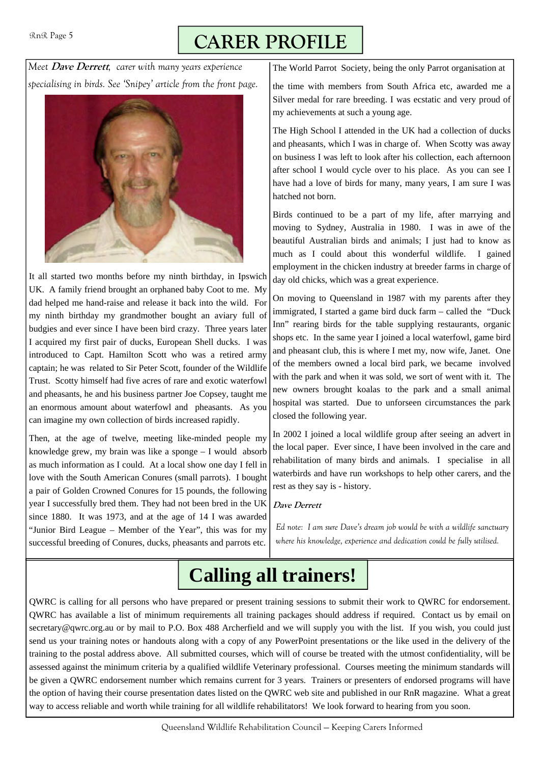# **CARER PROFILE**

*Meet* **Dave Derrett***, carer with many years experience specialising in birds. See 'Snipey' article from the front page.* 



It all started two months before my ninth birthday, in Ipswich UK. A family friend brought an orphaned baby Coot to me. My dad helped me hand-raise and release it back into the wild. For my ninth birthday my grandmother bought an aviary full of budgies and ever since I have been bird crazy. Three years later I acquired my first pair of ducks, European Shell ducks. I was introduced to Capt. Hamilton Scott who was a retired army captain; he was related to Sir Peter Scott, founder of the Wildlife Trust. Scotty himself had five acres of rare and exotic waterfowl and pheasants, he and his business partner Joe Copsey, taught me an enormous amount about waterfowl and pheasants. As you can imagine my own collection of birds increased rapidly.

Then, at the age of twelve, meeting like-minded people my knowledge grew, my brain was like a sponge – I would absorb as much information as I could. At a local show one day I fell in love with the South American Conures (small parrots). I bought a pair of Golden Crowned Conures for 15 pounds, the following year I successfully bred them. They had not been bred in the UK since 1880. It was 1973, and at the age of 14 I was awarded "Junior Bird League – Member of the Year", this was for my successful breeding of Conures, ducks, pheasants and parrots etc.

The World Parrot Society, being the only Parrot organisation at

the time with members from South Africa etc, awarded me a Silver medal for rare breeding. I was ecstatic and very proud of my achievements at such a young age.

The High School I attended in the UK had a collection of ducks and pheasants, which I was in charge of. When Scotty was away on business I was left to look after his collection, each afternoon after school I would cycle over to his place. As you can see I have had a love of birds for many, many years, I am sure I was hatched not born.

Birds continued to be a part of my life, after marrying and moving to Sydney, Australia in 1980. I was in awe of the beautiful Australian birds and animals; I just had to know as much as I could about this wonderful wildlife. I gained employment in the chicken industry at breeder farms in charge of day old chicks, which was a great experience.

On moving to Queensland in 1987 with my parents after they immigrated, I started a game bird duck farm – called the "Duck Inn" rearing birds for the table supplying restaurants, organic shops etc. In the same year I joined a local waterfowl, game bird and pheasant club, this is where I met my, now wife, Janet. One of the members owned a local bird park, we became involved with the park and when it was sold, we sort of went with it. The new owners brought koalas to the park and a small animal hospital was started. Due to unforseen circumstances the park closed the following year.

In 2002 I joined a local wildlife group after seeing an advert in the local paper. Ever since, I have been involved in the care and rehabilitation of many birds and animals. I specialise in all waterbirds and have run workshops to help other carers, and the rest as they say is - history.

#### **Dave Derrett**

*Ed note: I am sure Dave's dream job would be with a wildlife sanctuary where his knowledge, experience and dedication could be fully utilised.* 

# **Calling all trainers!**

QWRC is calling for all persons who have prepared or present training sessions to submit their work to QWRC for endorsement. QWRC has available a list of minimum requirements all training packages should address if required. Contact us by email on secretary@qwrc.org.au or by mail to P.O. Box 488 Archerfield and we will supply you with the list. If you wish, you could just send us your training notes or handouts along with a copy of any PowerPoint presentations or the like used in the delivery of the training to the postal address above. All submitted courses, which will of course be treated with the utmost confidentiality, will be assessed against the minimum criteria by a qualified wildlife Veterinary professional. Courses meeting the minimum standards will be given a QWRC endorsement number which remains current for 3 years. Trainers or presenters of endorsed programs will have the option of having their course presentation dates listed on the QWRC web site and published in our RnR magazine. What a great way to access reliable and worth while training for all wildlife rehabilitators! We look forward to hearing from you soon.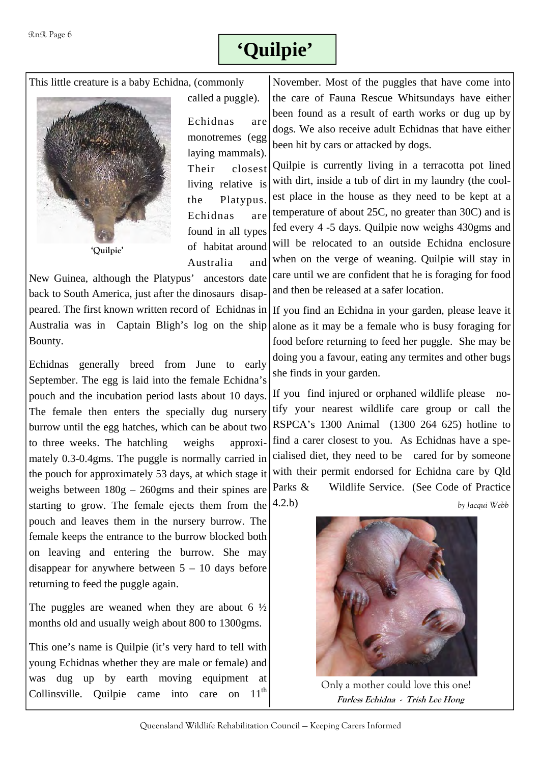# **'Quilpie'**

This little creature is a baby Echidna, (commonly



called a puggle).

Echidnas are monotremes (egg laying mammals). Their closest living relative is the Platypus. Echidnas are found in all types of habitat around Australia and

New Guinea, although the Platypus' ancestors date back to South America, just after the dinosaurs disappeared. The first known written record of Echidnas in Australia was in Captain Bligh's log on the ship Bounty.

Echidnas generally breed from June to early September. The egg is laid into the female Echidna's pouch and the incubation period lasts about 10 days. The female then enters the specially dug nursery burrow until the egg hatches, which can be about two to three weeks. The hatchling weighs approximately 0.3-0.4gms. The puggle is normally carried in the pouch for approximately 53 days, at which stage it weighs between 180g – 260gms and their spines are starting to grow. The female ejects them from the pouch and leaves them in the nursery burrow. The female keeps the entrance to the burrow blocked both on leaving and entering the burrow. She may disappear for anywhere between  $5 - 10$  days before returning to feed the puggle again.

The puggles are weaned when they are about 6  $\frac{1}{2}$ months old and usually weigh about 800 to 1300gms.

This one's name is Quilpie (it's very hard to tell with young Echidnas whether they are male or female) and was dug up by earth moving equipment at Collinsville. Quilpie came into care on  $11<sup>th</sup>$ 

November. Most of the puggles that have come into the care of Fauna Rescue Whitsundays have either been found as a result of earth works or dug up by dogs. We also receive adult Echidnas that have either been hit by cars or attacked by dogs.

Quilpie is currently living in a terracotta pot lined with dirt, inside a tub of dirt in my laundry (the coolest place in the house as they need to be kept at a temperature of about 25C, no greater than 30C) and is fed every 4 -5 days. Quilpie now weighs 430gms and will be relocated to an outside Echidna enclosure when on the verge of weaning. Quilpie will stay in care until we are confident that he is foraging for food and then be released at a safer location.

If you find an Echidna in your garden, please leave it alone as it may be a female who is busy foraging for food before returning to feed her puggle. She may be doing you a favour, eating any termites and other bugs she finds in your garden.

If you find injured or orphaned wildlife please notify your nearest wildlife care group or call the RSPCA's 1300 Animal (1300 264 625) hotline to find a carer closest to you. As Echidnas have a specialised diet, they need to be cared for by someone with their permit endorsed for Echidna care by Qld Parks & Wildlife Service. (See Code of Practice 4.2.b)

 *by Jacqui Webb* 



**Furless Echidna - Trish Lee Hong**  Only a mother could love this one!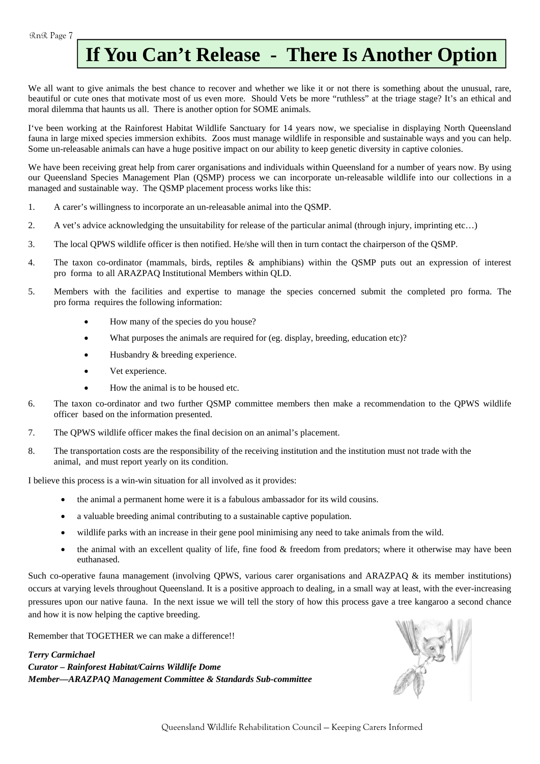# **If You Can't Release - There Is Another Option**

We all want to give animals the best chance to recover and whether we like it or not there is something about the unusual, rare, beautiful or cute ones that motivate most of us even more. Should Vets be more "ruthless" at the triage stage? It's an ethical and moral dilemma that haunts us all. There is another option for SOME animals.

I've been working at the Rainforest Habitat Wildlife Sanctuary for 14 years now, we specialise in displaying North Queensland fauna in large mixed species immersion exhibits. Zoos must manage wildlife in responsible and sustainable ways and you can help. Some un-releasable animals can have a huge positive impact on our ability to keep genetic diversity in captive colonies.

We have been receiving great help from carer organisations and individuals within Queensland for a number of years now. By using our Queensland Species Management Plan (QSMP) process we can incorporate un-releasable wildlife into our collections in a managed and sustainable way. The QSMP placement process works like this:

- 1. A carer's willingness to incorporate an un-releasable animal into the QSMP.
- 2. A vet's advice acknowledging the unsuitability for release of the particular animal (through injury, imprinting etc…)
- 3. The local QPWS wildlife officer is then notified. He/she will then in turn contact the chairperson of the QSMP.
- 4. The taxon co-ordinator (mammals, birds, reptiles & amphibians) within the QSMP puts out an expression of interest pro forma to all ARAZPAQ Institutional Members within QLD.
- 5. Members with the facilities and expertise to manage the species concerned submit the completed pro forma. The pro forma requires the following information:
	- How many of the species do you house?
	- What purposes the animals are required for (eg. display, breeding, education etc)?
	- Husbandry & breeding experience.
	- Vet experience.
	- How the animal is to be housed etc.
- 6. The taxon co-ordinator and two further QSMP committee members then make a recommendation to the QPWS wildlife officer based on the information presented.
- 7. The QPWS wildlife officer makes the final decision on an animal's placement.
- 8. The transportation costs are the responsibility of the receiving institution and the institution must not trade with the animal, and must report yearly on its condition.

I believe this process is a win-win situation for all involved as it provides:

- the animal a permanent home were it is a fabulous ambassador for its wild cousins.
- a valuable breeding animal contributing to a sustainable captive population.
- wildlife parks with an increase in their gene pool minimising any need to take animals from the wild.
- the animal with an excellent quality of life, fine food & freedom from predators; where it otherwise may have been euthanased.

Such co-operative fauna management (involving QPWS, various carer organisations and ARAZPAQ & its member institutions) occurs at varying levels throughout Queensland. It is a positive approach to dealing, in a small way at least, with the ever-increasing pressures upon our native fauna. In the next issue we will tell the story of how this process gave a tree kangaroo a second chance and how it is now helping the captive breeding.

Remember that TOGETHER we can make a difference!!

*Terry Carmichael Curator – Rainforest Habitat/Cairns Wildlife Dome Member—ARAZPAQ Management Committee & Standards Sub-committee* 

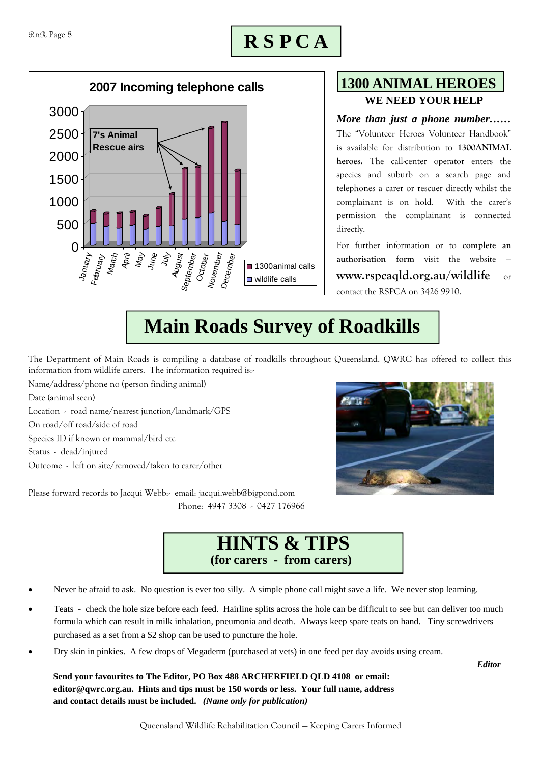# **R S P C A**



### **WE NEED YOUR HELP 1300 ANIMAL HEROES**

#### *More than just a phone number……*

The "Volunteer Heroes Volunteer Handbook" is available for distribution to **1300ANIMAL heroes.** The call-center operator enters the species and suburb on a search page and telephones a carer or rescuer directly whilst the complainant is on hold. With the carer's permission the complainant is connected directly.

For further information or to **complete an**  authorisation form visit the website **www.rspcaqld.org.au/wildlife** or contact the RSPCA on 3426 9910.

# **Main Roads Survey of Roadkills**

The Department of Main Roads is compiling a database of roadkills throughout Queensland. QWRC has offered to collect this information from wildlife carers. The information required is:-

Name/address/phone no (person finding animal)

Date (animal seen)

Location - road name/nearest junction/landmark/GPS On road/off road/side of road

Species ID if known or mammal/bird etc

Status - dead/injured

Outcome - left on site/removed/taken to carer/other

Please forward records to Jacqui Webb:- email: jacqui.webb@bigpond.com Phone: 4947 3308 - 0427 176966





- Never be afraid to ask. No question is ever too silly. A simple phone call might save a life. We never stop learning.
- Teats check the hole size before each feed. Hairline splits across the hole can be difficult to see but can deliver too much formula which can result in milk inhalation, pneumonia and death. Always keep spare teats on hand. Tiny screwdrivers purchased as a set from a \$2 shop can be used to puncture the hole.
- Dry skin in pinkies. A few drops of Megaderm (purchased at vets) in one feed per day avoids using cream.

 **Send your favourites to The Editor, PO Box 488 ARCHERFIELD QLD 4108 or email: editor@qwrc.org.au. Hints and tips must be 150 words or less. Your full name, address and contact details must be included.** *(Name only for publication)* 

*Editor*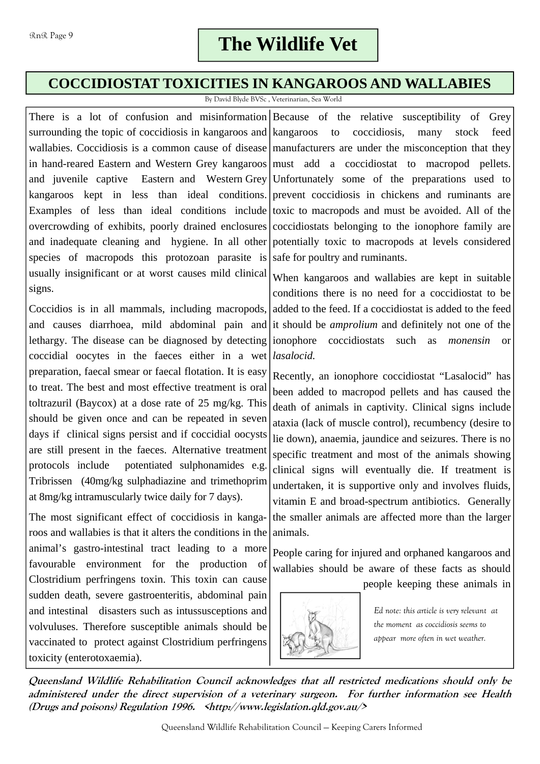### **COCCIDIOSTAT TOXICITIES IN KANGAROOS AND WALLABIES**

By David Blyde BVSc , Veterinarian, Sea World

There is a lot of confusion and misinformation Because of the relative susceptibility of Grey surrounding the topic of coccidiosis in kangaroos and kangaroos to coccidiosis, many stock feed wallabies. Coccidiosis is a common cause of disease manufacturers are under the misconception that they in hand-reared Eastern and Western Grey kangaroos must add a coccidiostat to macropod pellets. and juvenile captive Eastern and Western Grey Unfortunately some of the preparations used to kangaroos kept in less than ideal conditions. prevent coccidiosis in chickens and ruminants are Examples of less than ideal conditions include toxic to macropods and must be avoided. All of the overcrowding of exhibits, poorly drained enclosures coccidiostats belonging to the ionophore family are and inadequate cleaning and hygiene. In all other potentially toxic to macropods at levels considered species of macropods this protozoan parasite is safe for poultry and ruminants. usually insignificant or at worst causes mild clinical  $w$ hen kangaroos and wallabies are kept in suitable signs.

Coccidios is in all mammals, including macropods, and causes diarrhoea, mild abdominal pain and it should be *amprolium* and definitely not one of the lethargy. The disease can be diagnosed by detecting ionophore coccidiostats such as *monensin* or coccidial oocytes in the faeces either in a wet *lasalocid.* preparation, faecal smear or faecal flotation. It is easy to treat. The best and most effective treatment is oral toltrazuril (Baycox) at a dose rate of 25 mg/kg. This should be given once and can be repeated in seven days if clinical signs persist and if coccidial oocysts are still present in the faeces. Alternative treatment protocols include potentiated sulphonamides e.g. Tribrissen (40mg/kg sulphadiazine and trimethoprim at 8mg/kg intramuscularly twice daily for 7 days).

The most significant effect of coccidiosis in kangaroos and wallabies is that it alters the conditions in the animal's gastro-intestinal tract leading to a more favourable environment for the production of Clostridium perfringens toxin. This toxin can cause sudden death, severe gastroenteritis, abdominal pain and intestinal disasters such as intussusceptions and volvuluses. Therefore susceptible animals should be vaccinated to protect against Clostridium perfringens toxicity (enterotoxaemia).

conditions there is no need for a coccidiostat to be added to the feed. If a coccidiostat is added to the feed

Recently, an ionophore coccidiostat "Lasalocid" has been added to macropod pellets and has caused the death of animals in captivity. Clinical signs include ataxia (lack of muscle control), recumbency (desire to lie down), anaemia, jaundice and seizures. There is no specific treatment and most of the animals showing clinical signs will eventually die. If treatment is undertaken, it is supportive only and involves fluids, vitamin E and broad-spectrum antibiotics. Generally the smaller animals are affected more than the larger animals.

People caring for injured and orphaned kangaroos and wallabies should be aware of these facts as should people keeping these animals in



*Ed note: this article is very relevant at the moment as coccidiosis seems to appear more often in wet weather.* 

**Queensland Wildlife Rehabilitation Council acknowledges that all restricted medications should only be administered under the direct supervision of a veterinary surgeon. For further information see Health (Drugs and poisons) Regulation 1996. <http://www.legislation.qld.gov.au/>**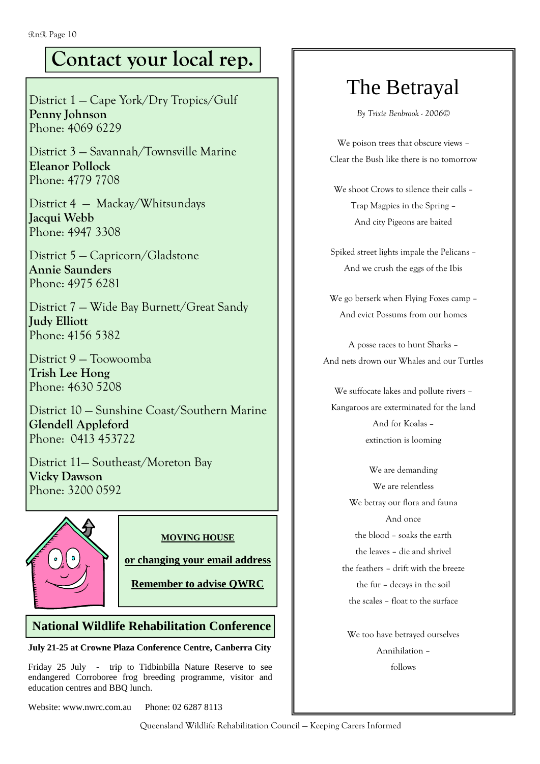# **Contact your local rep.**

District 1 — Cape York/Dry Tropics/Gulf **Penny Johnson**  Phone: 4069 6229

District 3 — Savannah/Townsville Marine **Eleanor Pollock**  Phone: 4779 7708

District 4 — Mackay/Whitsundays **Jacqui Webb**  Phone: 4947 3308

District 5 — Capricorn/Gladstone **Annie Saunders**  Phone: 4975 6281

District 7 — Wide Bay Burnett/Great Sandy **Judy Elliott**  Phone: 4156 5382

District 9 — Toowoomba **Trish Lee Hong**  Phone: 4630 5208

District 10 — Sunshine Coast/Southern Marine **Glendell Appleford**  Phone: 0413 453722

District 11— Southeast/Moreton Bay **Vicky Dawson**  Phone: 3200 0592



#### **MOVING HOUSE**

**or changing your email address**

**Remember to advise QWRC**

### **National Wildlife Rehabilitation Conference**

**July 21-25 at Crowne Plaza Conference Centre, Canberra City** 

Friday 25 July - trip to Tidbinbilla Nature Reserve to see endangered Corroboree frog breeding programme, visitor and education centres and BBQ lunch.

Website: www.nwrc.com.au Phone: 02 6287 8113

# The Betrayal

*By Trixie Benbrook - 2006©*

We poison trees that obscure views – Clear the Bush like there is no tomorrow

We shoot Crows to silence their calls – Trap Magpies in the Spring – And city Pigeons are baited

Spiked street lights impale the Pelicans – And we crush the eggs of the Ibis

We go berserk when Flying Foxes camp – And evict Possums from our homes

A posse races to hunt Sharks – And nets drown our Whales and our Turtles

We suffocate lakes and pollute rivers – Kangaroos are exterminated for the land And for Koalas – extinction is looming

We are demanding We are relentless We betray our flora and fauna And once the blood – soaks the earth the leaves – die and shrivel the feathers – drift with the breeze the fur – decays in the soil the scales – float to the surface

We too have betrayed ourselves Annihilation – follows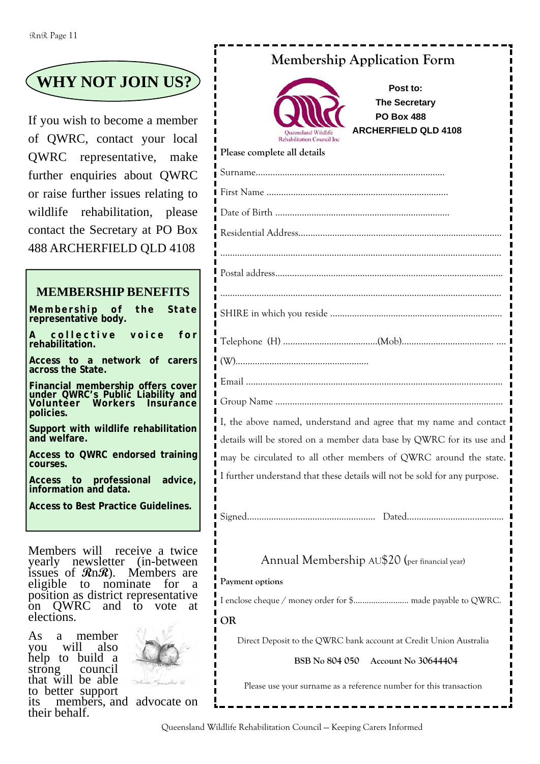# **WHY NOT JOIN US?**

If you wish to become a member of QWRC, contact your local QWRC representative, make further enquiries about QWRC or raise further issues relating to wildlife rehabilitation, please contact the Secretary at PO Box 488 ARCHERFIELD QLD 4108

### **MEMBERSHIP BENEFITS**

**Membership of the State representative body.**  collective voice for **rehabilitation. Access to a network of carers across the State. Financial membership offers cover under QWRC's Public Liability and Volunteer Workers Insurance policies. Support with wildlife rehabilitation and welfare. Access to QWRC endorsed training courses.** 

**Access to professional advice, information and data.** 

**Access to Best Practice Guidelines.** 

Members will receive a twice yearly newsletter (in-between issues of **R**n**R**). Members are eligible to nominate for a position as district representative<br>on OWRC and to vote at QWRC and to vote at elections.

As a member you will also help to build a strong council that will be able to better support



its members, and advocate on their behalf.

### **Membership Application Form**



**Post to: The Secretary PO Box 488 ARCHERFIELD QLD 4108** 

| Please complete all details                                     |
|-----------------------------------------------------------------|
|                                                                 |
|                                                                 |
|                                                                 |
|                                                                 |
|                                                                 |
|                                                                 |
|                                                                 |
|                                                                 |
|                                                                 |
|                                                                 |
| I the above named understand and agree that my name and contact |

understand and agree that my name and contact mediation details will be stored on a member data base by QWRC for its use and may be circulated to all other members of QWRC around the state. I further understand that these details will not be sold for any purpose.

Signed……………………………….………….… Dated………….……………………...

### Annual Membership AU\$20 (per financial year)

#### **Payment options**

I enclose cheque / money order for \$......................... made payable to QWRC.

#### **OR**

Direct Deposit to the QWRC bank account at Credit Union Australia

#### **BSB No 804 050 Account No 30644404**

Please use your surname as a reference number for this transaction

Queensland Wildlife Rehabilitation Council — Keeping Carers Informed